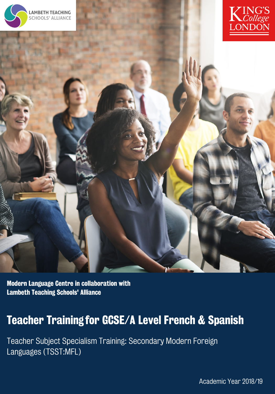





Modern Language Centre in collaboration with Lambeth Teaching Schools' Alliance

### Teacher Training for GCSE/A Level French & Spanish

Teacher Subject Specialism Training: Secondary Modern Foreign Languages (TSST:MFL)

Academic Year 2018/19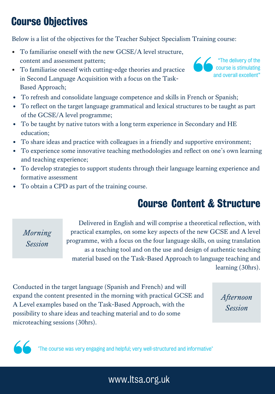### Course Objectives

Below is a list of the objectives for the Teacher Subject Specialism Training course:

- To familiarise oneself with the new GCSE/A level structure,  $\bullet$ content and assessment pattern;
- To familiarise oneself with cutting-edge theories and practice in Second Language Acquisition with a focus on the Task-Based Approach;
- To refresh and consolidate language competence and skills in French or Spanish;
- To reflect on the target language grammatical and lexical structures to be taught as part of the GCSE/A level programme;
- To be taught by native tutors with a long term experience in Secondary and HE education;
- To share ideas and practice with colleagues in a friendly and supportive environment;
- To experience some innovative teaching methodologies and reflect on one's own learning  $\bullet$ and teaching experience;
- To develop strategies to support students through their language learning experience and formative assessment
- To obtain a CPD as part of the training course.

#### Course Content & Structure

*Morning Session*

Delivered in English and will comprise a theoretical reflection, with practical examples, on some key aspects of the new GCSE and A level programme, with a focus on the four language skills, on using translation as a teaching tool and on the use and design of authentic teaching material based on the Task-Based Approach to language teaching and learning (30hrs).

Conducted in the target language (Spanish and French) and will expand the content presented in the morning with practical GCSE and A Level examples based on the Task-Based Approach, with the possibility to share ideas and teaching material and to do some microteaching sessions (30hrs).

*Afternoon Session*

The course was very engaging and helpful; very well-structured and informative"



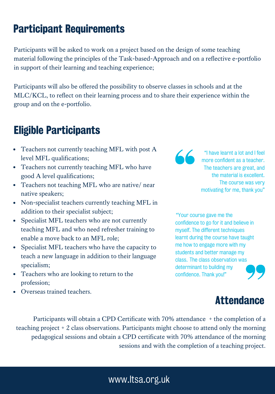#### Participant Requirements

Participants will be asked to work on a project based on the design of some teaching material following the principles of the Task-based-Approach and on a reflective e-portfolio in support of their learning and teaching experience;

Participants will also be offered the possibility to observe classes in schools and at the MLC/KCL, to reflect on their learning process and to share their experience within the group and on the e-portfolio.

#### Eligible Participants

- Teachers not currently teaching MFL with post A level MFL qualifications;
- Teachers not currently teaching MFL who have good A level qualifications;
- Teachers not teaching MFL who are native/ near native speakers;
- Non-specialist teachers currently teaching MFL in addition to their specialist subject;
- Specialist MFL teachers who are not currently teaching MFL and who need refresher training to enable a move back to an MFL role;
- Specialist MFL teachers who have the capacity to teach a new language in addition to their language specialism;
- Teachers who are looking to return to the profession;
- Overseas trained teachers.

 $\overline{\mathcal{L}}$ 

"I have learnt a lot and I feel more confident as a teacher. The teachers are great, and the material is excellent. The course was very motivating for me, thank you"

"Your course gave me the confidence to go for it and believe in myself. The different techniques learnt during the course have taught me how to engage more with my students and better manage my class. The class observation was determinant to building my confidence. Thank you!"



Participants will obtain a CPD Certificate with 70% attendance + the completion of a teaching project + 2 class observations. Participants might choose to attend only the morning pedagogical sessions and obtain a CPD certificate with 70% attendance of the morning sessions and with the completion of a teaching project.

#### www.Itsa.org.uk